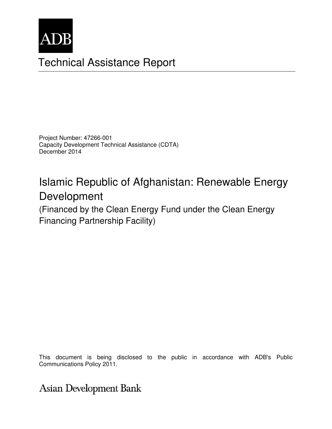

# Technical Assistance Report

Project Number: 47266-001 Capacity Development Technical Assistance (CDTA) December 2014

# Islamic Republic of Afghanistan: Renewable Energy Development

(Financed by the Clean Energy Fund under the Clean Energy Financing Partnership Facility)

This document is being disclosed to the public in accordance with ADB's Public<br>Communications Police 0011 Communications Policy 2011.

Asian Development Bank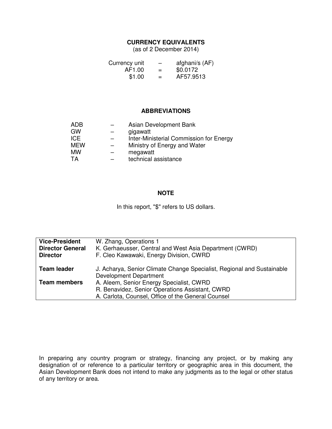#### **CURRENCY EQUIVALENTS**

(as of 2 December 2014)

| Currency unit | -   | afghani/s (AF) |
|---------------|-----|----------------|
| AF1.00        | $=$ | \$0.0172       |
| \$1.00        | $=$ | AF57.9513      |

#### **ABBREVIATIONS**

| Asian Development Bank                  |
|-----------------------------------------|
| gigawatt                                |
| Inter-Ministerial Commission for Energy |
| Ministry of Energy and Water            |
| megawatt                                |
| technical assistance                    |
|                                         |

#### **NOTE**

In this report, "\$" refers to US dollars.

| <b>Vice-President</b><br><b>Director General</b><br><b>Director</b> | W. Zhang, Operations 1<br>K. Gerhaeusser, Central and West Asia Department (CWRD)<br>F. Cleo Kawawaki, Energy Division, CWRD                      |
|---------------------------------------------------------------------|---------------------------------------------------------------------------------------------------------------------------------------------------|
| <b>Team leader</b>                                                  | J. Acharya, Senior Climate Change Specialist, Regional and Sustainable<br><b>Development Department</b>                                           |
| <b>Team members</b>                                                 | A. Aleem, Senior Energy Specialist, CWRD<br>R. Benavidez, Senior Operations Assistant, CWRD<br>A. Carlota, Counsel, Office of the General Counsel |

In preparing any country program or strategy, financing any project, or by making any designation of or reference to a particular territory or geographic area in this document, the Asian Development Bank does not intend to make any judgments as to the legal or other status of any territory or area.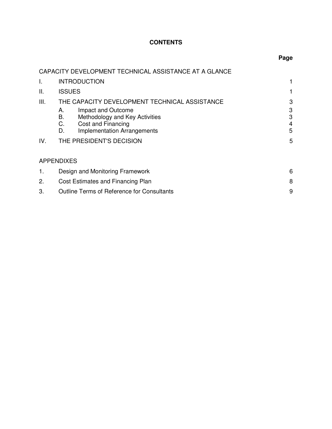## **CONTENTS**

|     | CAPACITY DEVELOPMENT TECHNICAL ASSISTANCE AT A GLANCE            |        |  |
|-----|------------------------------------------------------------------|--------|--|
| I.  | <b>INTRODUCTION</b>                                              |        |  |
| Ш.  | <b>ISSUES</b>                                                    |        |  |
| Ш.  | THE CAPACITY DEVELOPMENT TECHNICAL ASSISTANCE                    | 3      |  |
|     | Impact and Outcome<br>А.                                         | 3      |  |
|     | Methodology and Key Activities<br>В.<br>C.<br>Cost and Financing | 3<br>4 |  |
|     | <b>Implementation Arrangements</b><br>D.                         | 5      |  |
| IV. | THE PRESIDENT'S DECISION                                         | 5      |  |
|     | <b>APPENDIXES</b>                                                |        |  |
| 1.  | Design and Monitoring Framework                                  | 6      |  |
| 2.  | Cost Estimates and Financing Plan                                |        |  |
| 3.  | <b>Outline Terms of Reference for Consultants</b>                | 9      |  |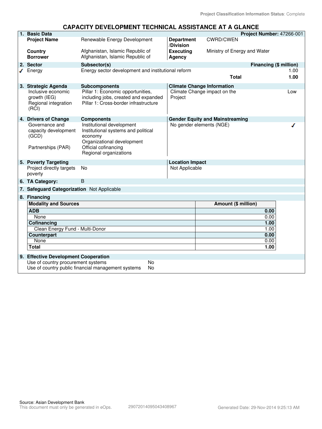### **CAPACITY DEVELOPMENT TECHNICAL ASSISTANCE AT A GLANCE**

|  | 1. Basic Data                                                                                         |                                                                                                                    |                                                |                                        | Project Number: 47266-001 |
|--|-------------------------------------------------------------------------------------------------------|--------------------------------------------------------------------------------------------------------------------|------------------------------------------------|----------------------------------------|---------------------------|
|  | <b>Project Name</b>                                                                                   | Renewable Energy Development                                                                                       | <b>Department</b><br>/Division                 | <b>CWRD/CWEN</b>                       |                           |
|  | Country<br><b>Borrower</b>                                                                            | Afghanistan, Islamic Republic of<br>Afghanistan, Islamic Republic of                                               | <b>Executing</b><br>Agency                     | Ministry of Energy and Water           |                           |
|  | 2. Sector                                                                                             | Subsector(s)                                                                                                       |                                                |                                        | Financing (\$ million)    |
|  | Energy                                                                                                | Energy sector development and institutional reform                                                                 |                                                |                                        | 1.00                      |
|  |                                                                                                       |                                                                                                                    |                                                | <b>Total</b>                           | 1.00                      |
|  | 3. Strategic Agenda                                                                                   | <b>Subcomponents</b>                                                                                               |                                                | <b>Climate Change Information</b>      |                           |
|  | Inclusive economic<br>growth (IEG)<br>Regional integration<br>(RCI)                                   | Pillar 1: Economic opportunities,<br>including jobs, created and expanded<br>Pillar 1: Cross-border infrastructure | Climate Change impact on the<br>Low<br>Project |                                        |                           |
|  | 4. Drivers of Change                                                                                  | <b>Components</b>                                                                                                  |                                                | <b>Gender Equity and Mainstreaming</b> |                           |
|  | Governance and<br>capacity development<br>(GCD)                                                       | Institutional development<br>Institutional systems and political<br>economy<br>Organizational development          |                                                | No gender elements (NGE)               |                           |
|  | Partnerships (PAR)                                                                                    | Official cofinancing<br>Regional organizations                                                                     |                                                |                                        |                           |
|  | 5. Poverty Targeting                                                                                  |                                                                                                                    | <b>Location Impact</b>                         |                                        |                           |
|  | Project directly targets<br>poverty                                                                   | <b>No</b>                                                                                                          | Not Applicable                                 |                                        |                           |
|  | 6. TA Category:                                                                                       | B                                                                                                                  |                                                |                                        |                           |
|  | 7. Safeguard Categorization Not Applicable                                                            |                                                                                                                    |                                                |                                        |                           |
|  | 8. Financing                                                                                          |                                                                                                                    |                                                |                                        |                           |
|  | <b>Modality and Sources</b><br><b>ADB</b>                                                             |                                                                                                                    |                                                | Amount (\$ million)                    |                           |
|  |                                                                                                       |                                                                                                                    |                                                |                                        | 0.00                      |
|  | None                                                                                                  |                                                                                                                    |                                                |                                        | 0.00                      |
|  | Cofinancing                                                                                           |                                                                                                                    |                                                |                                        | 1.00                      |
|  | Clean Energy Fund - Multi-Donor                                                                       |                                                                                                                    |                                                |                                        | 1.00                      |
|  | <b>Counterpart</b><br>None                                                                            |                                                                                                                    |                                                |                                        | 0.00<br>0.00              |
|  | <b>Total</b>                                                                                          |                                                                                                                    | 1.00                                           |                                        |                           |
|  |                                                                                                       |                                                                                                                    |                                                |                                        |                           |
|  | 9. Effective Development Cooperation                                                                  |                                                                                                                    |                                                |                                        |                           |
|  | Use of country procurement systems<br><b>No</b><br>Use of country public financial management systems |                                                                                                                    |                                                |                                        |                           |
|  | No                                                                                                    |                                                                                                                    |                                                |                                        |                           |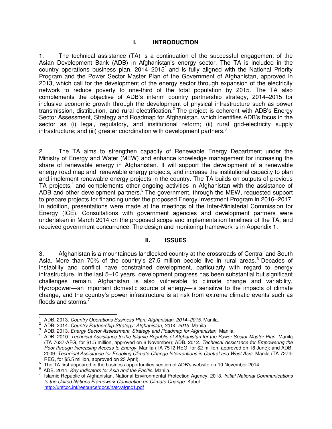## **I. INTRODUCTION**

1. The technical assistance (TA) is a continuation of the successful engagement of the Asian Development Bank (ADB) in Afghanistan's energy sector. The TA is included in the country operations business plan,  $2014-2015<sup>1</sup>$  and is fully aligned with the National Priority Program and the Power Sector Master Plan of the Government of Afghanistan, approved in 2013, which call for the development of the energy sector through expansion of the electricity network to reduce poverty to one-third of the total population by 2015. The TA also complements the objective of ADB's interim country partnership strategy, 2014–2015 for inclusive economic growth through the development of physical infrastructure such as power transmission, distribution, and rural electrification.<sup>2</sup> The project is coherent with ADB's Energy Sector Assessment, Strategy and Roadmap for Afghanistan, which identifies ADB's focus in the sector as (i) legal, regulatory, and institutional reform; (ii) rural grid-electricity supply infrastructure; and (iii) greater coordination with development partners.<sup>3</sup>

2. The TA aims to strengthen capacity of Renewable Energy Department under the Ministry of Energy and Water (MEW) and enhance knowledge management for increasing the share of renewable energy in Afghanistan. It will support the development of a renewable energy road map and renewable energy projects, and increase the institutional capacity to plan and implement renewable energy projects in the country. The TA builds on outputs of previous TA projects,<sup>4</sup> and complements other ongoing activities in Afghanistan with the assistance of ADB and other development partners.<sup>5</sup> The government, through the MEW, requested support to prepare projects for financing under the proposed Energy Investment Program in 2016–2017. In addition, presentations were made at the meetings of the Inter-Ministerial Commission for Energy (ICE). Consultations with government agencies and development partners were undertaken in March 2014 on the proposed scope and implementation timelines of the TA, and received government concurrence. The design and monitoring framework is in Appendix 1.

### **II. ISSUES**

3. Afghanistan is a mountainous landlocked country at the crossroads of Central and South Asia. More than 70% of the country's 27.5 million people live in rural areas.<sup>6</sup> Decades of instability and conflict have constrained development, particularly with regard to energy infrastructure. In the last 5–10 years, development progress has been substantial but significant challenges remain. Afghanistan is also vulnerable to climate change and variability. Hydropower—an important domestic source of energy—is sensitive to the impacts of climate change, and the country's power infrastructure is at risk from extreme climatic events such as floods and storms.<sup>7</sup>

 $\overline{a}$ 1 ADB. 2013. *Country Operations Business Plan: Afghanistan, 2014–2015.* Manila.

<sup>2</sup> ADB. 2014. *Country Partnership Strategy: Afghanistan, 2014–2015.* Manila.

<sup>3</sup> ADB. 2013. *Energy Sector Assessment, Strategy and Roadmap for Afghanistan.* Manila.

<sup>4</sup> ADB. 2010. *Technical Assistance to the Islamic Republic of Afghanistan for the Power Sector Master Plan.* Manila (TA 7637-AFG, for \$1.5 million, approved on 6 November); ADB. 2012. *Technical Assistance for Empowering the Poor through Increasing Access to Energy.* Manila (TA 7512-REG, for \$2 million, approved on 18 June); and ADB. 2009. *Technical Assistance for Enabling Climate Change Interventions in Central and West Asia*. Manila (TA 7274- REG, for \$5.5 million, approved on 23 April).

 $5<sup>5</sup>$  The TA first appeared in the business opportunities section of ADB's website on 10 November 2014.

<sup>6</sup> ADB. 2014. *Key Indicators for Asia and the Pacific*. Manila.

<sup>7</sup> Islamic Republic of Afghanistan, National Environmental Protection Agency. 2013. *Initial National Communications to the United Nations Framework Convention on Climate Change*. Kabul. <http://unfccc.int/resource/docs/natc/afgnc1.pdf>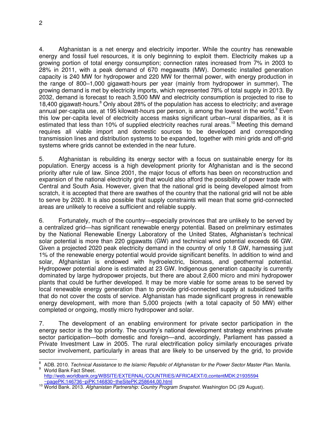4. Afghanistan is a net energy and electricity importer. While the country has renewable energy and fossil fuel resources, it is only beginning to exploit them. Electricity makes up a growing portion of total energy consumption; connection rates increased from 7% in 2003 to 28% in 2011, with a peak demand of 670 megawatts (MW). Domestic installed generation capacity is 240 MW for hydropower and 220 MW for thermal power, with energy production in the range of 800–1,000 gigawatt-hours per year (mainly from hydropower in summer). The growing demand is met by electricity imports, which represented 78% of total supply in 2013. By 2032, demand is forecast to reach 3,500 MW and electricity consumption is projected to rise to 18,400 gigawatt-hours.<sup>8</sup> Only about 28% of the population has access to electricity; and average annual per-capita use, at 195 kilowatt-hours per person, is among the lowest in the world. <sup>9</sup> Even this low per-capita level of electricity access masks significant urban–rural disparities, as it is estimated that less than 10% of supplied electricity reaches rural areas.<sup>10</sup> Meeting this demand requires all viable import and domestic sources to be developed and corresponding transmission lines and distribution systems to be expanded, together with mini grids and off-grid

5. Afghanistan is rebuilding its energy sector with a focus on sustainable energy for its population. Energy access is a high development priority for Afghanistan and is the second priority after rule of law. Since 2001, the major focus of efforts has been on reconstruction and expansion of the national electricity grid that would also afford the possibility of power trade with Central and South Asia. However, given that the national grid is being developed almost from scratch, it is accepted that there are swathes of the country that the national grid will not be able to serve by 2020. It is also possible that supply constraints will mean that some grid-connected areas are unlikely to receive a sufficient and reliable supply.

systems where grids cannot be extended in the near future.

6. Fortunately, much of the country—especially provinces that are unlikely to be served by a centralized grid—has significant renewable energy potential. Based on preliminary estimates by the National Renewable Energy Laboratory of the United States, Afghanistan's technical solar potential is more than 220 gigawatts (GW) and technical wind potential exceeds 66 GW. Given a projected 2020 peak electricity demand in the country of only 1.8 GW, harnessing just 1% of the renewable energy potential would provide significant benefits. In addition to wind and solar, Afghanistan is endowed with hydroelectric, biomass, and geothermal potential. Hydropower potential alone is estimated at 23 GW. Indigenous generation capacity is currently dominated by large hydropower projects, but there are about 2,600 micro and mini hydropower plants that could be further developed. It may be more viable for some areas to be served by local renewable energy generation than to provide grid-connected supply at subsidized tariffs that do not cover the costs of service. Afghanistan has made significant progress in renewable energy development, with more than 5,000 projects (with a total capacity of 50 MW) either completed or ongoing, mostly micro hydropower and solar.

7. The development of an enabling environment for private sector participation in the energy sector is the top priority. The country's national development strategy enshrines private sector participation—both domestic and foreign—and, accordingly, Parliament has passed a Private Investment Law in 2005. The rural electrification policy similarly encourages private sector involvement, particularly in areas that are likely to be unserved by the grid, to provide

 $\overline{a}$ 8 ADB. 2010. *Technical Assistance to the Islamic Republic of Afghanistan for the Power Sector Master Plan.* Manila. <sup>9</sup> World Bank Fact Sheet.

[http://web.worldbank.org/WBSITE/EXTERNAL/COUNTRIES/AFRICAEXT/0,contentMDK:21935594](http://web.worldbank.org/WBSITE/EXTERNAL/COUNTRIES/AFRICAEXT/0,contentMDK:21935594%20~pagePK:146736~piPK:146830~theSitePK:258644,00.html)  [~pagePK:146736~piPK:146830~theSitePK:258644,00.html](http://web.worldbank.org/WBSITE/EXTERNAL/COUNTRIES/AFRICAEXT/0,contentMDK:21935594%20~pagePK:146736~piPK:146830~theSitePK:258644,00.html)

<sup>10</sup> World Bank. 2013. *Afghanistan Partnership: Country Program Snapshot*. Washington DC (29 August).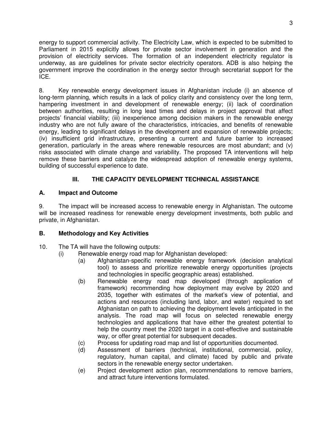energy to support commercial activity. The Electricity Law, which is expected to be submitted to Parliament in 2015 explicitly allows for private sector involvement in generation and the provision of electricity services. The formation of an independent electricity regulator is underway, as are guidelines for private sector electricity operators. ADB is also helping the government improve the coordination in the energy sector through secretariat support for the ICE.

8. Key renewable energy development issues in Afghanistan include (i) an absence of long-term planning, which results in a lack of policy clarity and consistency over the long term, hampering investment in and development of renewable energy; (ii) lack of coordination between authorities, resulting in long lead times and delays in project approval that affect projects' financial viability; (iii) inexperience among decision makers in the renewable energy industry who are not fully aware of the characteristics, intricacies, and benefits of renewable energy, leading to significant delays in the development and expansion of renewable projects; (iv) insufficient grid infrastructure, presenting a current and future barrier to increased generation, particularly in the areas where renewable resources are most abundant; and (v) risks associated with climate change and variability. The proposed TA interventions will help remove these barriers and catalyze the widespread adoption of renewable energy systems, building of successful experience to date.

## **III. THE CAPACITY DEVELOPMENT TECHNICAL ASSISTANCE**

## **A. Impact and Outcome**

9. The impact will be increased access to renewable energy in Afghanistan. The outcome will be increased readiness for renewable energy development investments, both public and private, in Afghanistan.

## **B. Methodology and Key Activities**

- 10. The TA will have the following outputs:
	- (i) Renewable energy road map for Afghanistan developed:
		- (a) Afghanistan-specific renewable energy framework (decision analytical tool) to assess and prioritize renewable energy opportunities (projects and technologies in specific geographic areas) established.
		- (b) Renewable energy road map developed (through application of framework) recommending how deployment may evolve by 2020 and 2035, together with estimates of the market's view of potential, and actions and resources (including land, labor, and water) required to set Afghanistan on path to achieving the deployment levels anticipated in the analysis. The road map will focus on selected renewable energy technologies and applications that have either the greatest potential to help the country meet the 2020 target in a cost-effective and sustainable way, or offer great potential for subsequent decades.
		- (c) Process for updating road map and list of opportunities documented.
		- (d) Assessment of barriers (technical, institutional, commercial, policy, regulatory, human capital, and climate) faced by public and private sectors in the renewable energy sector undertaken.
		- (e) Project development action plan, recommendations to remove barriers, and attract future interventions formulated.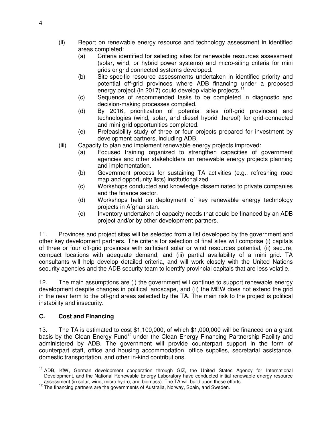- (ii) Report on renewable energy resource and technology assessment in identified areas completed:
	- (a) Criteria identified for selecting sites for renewable resources assessment (solar, wind, or hybrid power systems) and micro-siting criteria for mini grids or grid connected systems developed.
	- (b) Site-specific resource assessments undertaken in identified priority and potential off-grid provinces where ADB financing under a proposed energy project (in 2017) could develop viable projects.<sup>11</sup>
	- (c) Sequence of recommended tasks to be completed in diagnostic and decision-making processes compiled.
	- (d) By 2016, prioritization of potential sites (off-grid provinces) and technologies (wind, solar, and diesel hybrid thereof) for grid-connected and mini-grid opportunities completed.
	- (e) Prefeasibility study of three or four projects prepared for investment by development partners, including ADB.
- (iii) Capacity to plan and implement renewable energy projects improved:
	- (a) Focused training organized to strengthen capacities of government agencies and other stakeholders on renewable energy projects planning and implementation.
	- (b) Government process for sustaining TA activities (e.g., refreshing road map and opportunity lists) institutionalized.
	- (c) Workshops conducted and knowledge disseminated to private companies and the finance sector.
	- (d) Workshops held on deployment of key renewable energy technology projects in Afghanistan.
	- (e) Inventory undertaken of capacity needs that could be financed by an ADB project and/or by other development partners.

11. Provinces and project sites will be selected from a list developed by the government and other key development partners. The criteria for selection of final sites will comprise (i) capitals of three or four off-grid provinces with sufficient solar or wind resources potential, (ii) secure, compact locations with adequate demand, and (iii) partial availability of a mini grid. TA consultants will help develop detailed criteria, and will work closely with the United Nations security agencies and the ADB security team to identify provincial capitals that are less volatile.

12. The main assumptions are (i) the government will continue to support renewable energy development despite changes in political landscape, and (ii) the MEW does not extend the grid in the near term to the off-grid areas selected by the TA. The main risk to the project is political instability and insecurity.

## **C. Cost and Financing**

13. The TA is estimated to cost \$1,100,000, of which \$1,000,000 will be financed on a grant basis by the Clean Energy Fund<sup>12</sup> under the Clean Energy Financing Partnership Facility and administered by ADB. The government will provide counterpart support in the form of counterpart staff, office and housing accommodation, office supplies, secretarial assistance, domestic transportation, and other in-kind contributions.

j <sup>11</sup> ADB, KfW, German development cooperation through GIZ, the United States Agency for International Development, and the National Renewable Energy Laboratory have conducted initial renewable energy resource assessment (in solar, wind, micro hydro, and biomass). The TA will build upon these efforts.

 $12$  The financing partners are the governments of Australia, Norway, Spain, and Sweden.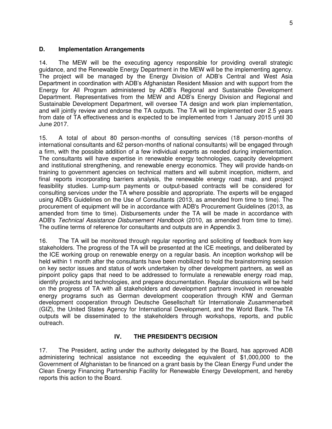#### **D. Implementation Arrangements**

14. The MEW will be the executing agency responsible for providing overall strategic guidance, and the Renewable Energy Department in the MEW will be the implementing agency. The project will be managed by the Energy Division of ADB's Central and West Asia Department in coordination with ADB's Afghanistan Resident Mission and with support from the Energy for All Program administered by ADB's Regional and Sustainable Development Department. Representatives from the MEW and ADB's Energy Division and Regional and Sustainable Development Department, will oversee TA design and work plan implementation, and will jointly review and endorse the TA outputs. The TA will be implemented over 2.5 years from date of TA effectiveness and is expected to be implemented from 1 January 2015 until 30 June 2017.

15. A total of about 80 person-months of consulting services (18 person-months of international consultants and 62 person-months of national consultants) will be engaged through a firm, with the possible addition of a few individual experts as needed during implementation. The consultants will have expertise in renewable energy technologies, capacity development and institutional strengthening, and renewable energy economics. They will provide hands-on training to government agencies on technical matters and will submit inception, midterm, and final reports incorporating barriers analysis, the renewable energy road map, and project feasibility studies. Lump-sum payments or output-based contracts will be considered for consulting services under the TA where possible and appropriate. The experts will be engaged using ADB's Guidelines on the Use of Consultants (2013, as amended from time to time). The procurement of equipment will be in accordance with ADB's Procurement Guidelines (2013, as amended from time to time). Disbursements under the TA will be made in accordance with ADB's *Technical Assistance Disbursement Handbook* (2010, as amended from time to time). The outline terms of reference for consultants and outputs are in Appendix 3.

16. The TA will be monitored through regular reporting and soliciting of feedback from key stakeholders. The progress of the TA will be presented at the ICE meetings, and deliberated by the ICE working group on renewable energy on a regular basis. An inception workshop will be held within 1 month after the consultants have been mobilized to hold the brainstorming session on key sector issues and status of work undertaken by other development partners, as well as pinpoint policy gaps that need to be addressed to formulate a renewable energy road map, identify projects and technologies, and prepare documentation. Regular discussions will be held on the progress of TA with all stakeholders and development partners involved in renewable energy programs such as German development cooperation through KfW and German development cooperation through Deutsche Gesellschaft für Internationale Zusammenarbeit (GIZ), the United States Agency for International Development, and the World Bank. The TA outputs will be disseminated to the stakeholders through workshops, reports, and public outreach.

### **IV. THE PRESIDENT'S DECISION**

17. The President, acting under the authority delegated by the Board, has approved ADB administering technical assistance not exceeding the equivalent of \$1,000,000 to the Government of Afghanistan to be financed on a grant basis by the Clean Energy Fund under the Clean Energy Financing Partnership Facility for Renewable Energy Development, and hereby reports this action to the Board.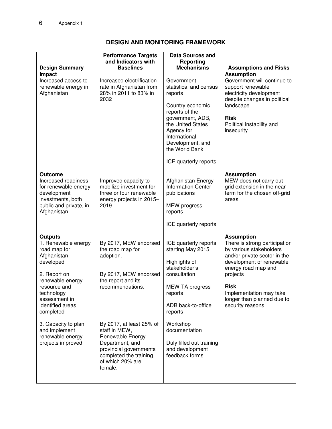## **DESIGN AND MONITORING FRAMEWORK**

|                                                                                                                                                                                                       | <b>Performance Targets</b><br>and Indicators with                                                                                                                    | <b>Data Sources and</b><br>Reporting                                                                                                                                                                                         |                                                                                                                                                                                                                                                                          |
|-------------------------------------------------------------------------------------------------------------------------------------------------------------------------------------------------------|----------------------------------------------------------------------------------------------------------------------------------------------------------------------|------------------------------------------------------------------------------------------------------------------------------------------------------------------------------------------------------------------------------|--------------------------------------------------------------------------------------------------------------------------------------------------------------------------------------------------------------------------------------------------------------------------|
| <b>Design Summary</b>                                                                                                                                                                                 | <b>Baselines</b>                                                                                                                                                     | <b>Mechanisms</b>                                                                                                                                                                                                            | <b>Assumptions and Risks</b>                                                                                                                                                                                                                                             |
| Impact<br>Increased access to<br>renewable energy in<br>Afghanistan                                                                                                                                   | Increased electrification<br>rate in Afghanistan from<br>28% in 2011 to 83% in<br>2032                                                                               | Government<br>statistical and census<br>reports<br>Country economic<br>reports of the<br>government, ADB,<br>the United States<br>Agency for<br>International<br>Development, and<br>the World Bank<br>ICE quarterly reports | <b>Assumption</b><br>Government will continue to<br>support renewable<br>electricity development<br>despite changes in political<br>landscape<br><b>Risk</b><br>Political instability and<br>insecurity                                                                  |
| <b>Outcome</b><br>Increased readiness<br>for renewable energy<br>development<br>investments, both<br>public and private, in<br>Afghanistan                                                            | Improved capacity to<br>mobilize investment for<br>three or four renewable<br>energy projects in 2015-<br>2019                                                       | Afghanistan Energy<br><b>Information Center</b><br>publications<br><b>MEW</b> progress<br>reports<br>ICE quarterly reports                                                                                                   | <b>Assumption</b><br>MEW does not carry out<br>grid extension in the near<br>term for the chosen off-grid<br>areas                                                                                                                                                       |
| <b>Outputs</b><br>1. Renewable energy<br>road map for<br>Afghanistan<br>developed<br>2. Report on<br>renewable energy<br>resource and<br>technology<br>assessment in<br>identified areas<br>completed | By 2017, MEW endorsed<br>the road map for<br>adoption.<br>By 2017, MEW endorsed<br>the report and its<br>recommendations.                                            | ICE quarterly reports<br>starting May 2015<br>Highlights of<br>stakeholder's<br>consultation<br>MEW TA progress<br>reports<br>ADB back-to-office<br>reports                                                                  | <b>Assumption</b><br>There is strong participation<br>by various stakeholders<br>and/or private sector in the<br>development of renewable<br>energy road map and<br>projects<br><b>Risk</b><br>Implementation may take<br>longer than planned due to<br>security reasons |
| 3. Capacity to plan<br>and implement<br>renewable energy<br>projects improved                                                                                                                         | By 2017, at least 25% of<br>staff in MEW,<br>Renewable Energy<br>Department, and<br>provincial governments<br>completed the training,<br>of which 20% are<br>female. | Workshop<br>documentation<br>Duly filled out training<br>and development<br>feedback forms                                                                                                                                   |                                                                                                                                                                                                                                                                          |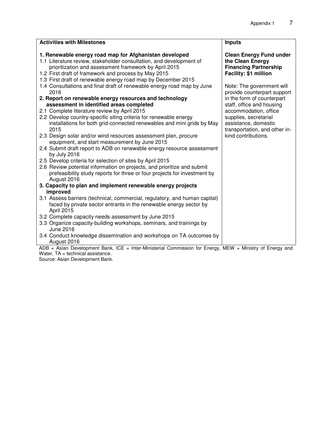| <b>Activities with Milestones</b>                                                                         | <b>Inputs</b>                                            |
|-----------------------------------------------------------------------------------------------------------|----------------------------------------------------------|
| 1. Renewable energy road map for Afghanistan developed                                                    | <b>Clean Energy Fund under</b>                           |
| 1.1 Literature review, stakeholder consultation, and development of                                       | the Clean Energy                                         |
| prioritization and assessment framework by April 2015                                                     | <b>Financing Partnership</b>                             |
| 1.2 First draft of framework and process by May 2015                                                      | Facility: \$1 million                                    |
| 1.3 First draft of renewable energy road map by December 2015                                             |                                                          |
| 1.4 Consultations and final draft of renewable energy road map by June<br>2016                            | Note: The government will<br>provide counterpart support |
| 2. Report on renewable energy resources and technology                                                    | in the form of counterpart                               |
| assessment in identified areas completed                                                                  | staff, office and housing                                |
| 2.1 Complete literature review by April 2015                                                              | accommodation, office                                    |
| 2.2 Develop country-specific siting criteria for renewable energy                                         | supplies, secretarial                                    |
| installations for both grid-connected renewables and mini grids by May                                    | assistance, domestic                                     |
| 2015                                                                                                      | transportation, and other in-                            |
| 2.3 Design solar and/or wind resources assessment plan, procure                                           | kind contributions.                                      |
| equipment, and start measurement by June 2015                                                             |                                                          |
| 2.4 Submit draft report to ADB on renewable energy resource assessment                                    |                                                          |
| by July 2016                                                                                              |                                                          |
| 2.5 Develop criteria for selection of sites by April 2015                                                 |                                                          |
| 2.6 Review potential information on projects, and prioritize and submit                                   |                                                          |
| prefeasibility study reports for three or four projects for investment by                                 |                                                          |
| August 2016<br>3. Capacity to plan and implement renewable energy projects                                |                                                          |
| improved                                                                                                  |                                                          |
| 3.1 Assess barriers (technical, commercial, regulatory, and human capital)                                |                                                          |
| faced by private sector entrants in the renewable energy sector by                                        |                                                          |
| April 2015                                                                                                |                                                          |
| 3.2 Complete capacity needs assessment by June 2015                                                       |                                                          |
| 3.3 Organize capacity-building workshops, seminars, and trainings by                                      |                                                          |
| June 2016                                                                                                 |                                                          |
| 3.4 Conduct knowledge dissemination and workshops on TA outcomes by                                       |                                                          |
| August 2016                                                                                               |                                                          |
| ADB = Asian Development Bank, ICE = Inter-Ministerial Commission for Energy, MEW = Ministry of Energy and |                                                          |

Water, TA = technical assistance.

Source: Asian Development Bank.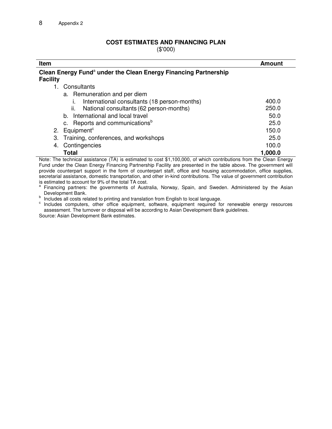#### **COST ESTIMATES AND FINANCING PLAN**

(\$'000)

| Item     |                                                                             | <b>Amount</b> |
|----------|-----------------------------------------------------------------------------|---------------|
| Facility | Clean Energy Fund <sup>a</sup> under the Clean Energy Financing Partnership |               |
|          | Consultants                                                                 |               |
|          | a. Remuneration and per diem                                                |               |
|          | International consultants (18 person-months)                                | 400.0         |
|          | ii.<br>National consultants (62 person-months)                              | 250.0         |
|          | b. International and local travel                                           | 50.0          |
|          | c. Reports and communications <sup>b</sup>                                  | 25.0          |
| 2.       | Equipment <sup>c</sup>                                                      | 150.0         |
| 3.       | Training, conferences, and workshops                                        | 25.0          |
| 4.       | Contingencies                                                               | 100.0         |
|          | <b>Total</b>                                                                | 1,000.0       |

Note: The technical assistance (TA) is estimated to cost \$1,100,000, of which contributions from the Clean Energy Fund under the Clean Energy Financing Partnership Facility are presented in the table above. The government will provide counterpart support in the form of counterpart staff, office and housing accommodation, office supplies, secretarial assistance, domestic transportation, and other in-kind contributions. The value of government contribution is estimated to account for 9% of the total TA cost.

a Financing partners: the governments of Australia, Norway, Spain, and Sweden. Administered by the Asian Development Bank.

b Includes all costs related to printing and translation from English to local language.

c Includes computers, other office equipment, software, equipment required for renewable energy resources assessment. The turnover or disposal will be according to Asian Development Bank guidelines.

Source: Asian Development Bank estimates.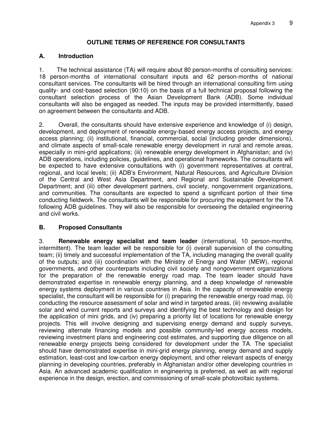## **OUTLINE TERMS OF REFERENCE FOR CONSULTANTS**

## **A. Introduction**

1. The technical assistance (TA) will require about 80 person-months of consulting services: 18 person-months of international consultant inputs and 62 person-months of national consultant services. The consultants will be hired through an international consulting firm using quality- and cost-based selection (90:10) on the basis of a full technical proposal following the consultant selection process of the Asian Development Bank (ADB). Some individual consultants will also be engaged as needed. The inputs may be provided intermittently, based on agreement between the consultants and ADB.

2. Overall, the consultants should have extensive experience and knowledge of (i) design, development, and deployment of renewable energy-based energy access projects, and energy access planning; (ii) institutional, financial, commercial, social (including gender dimensions), and climate aspects of small-scale renewable energy development in rural and remote areas, especially in mini-grid applications; (iii) renewable energy development in Afghanistan; and (iv) ADB operations, including policies, guidelines, and operational frameworks. The consultants will be expected to have extensive consultations with (i) government representatives at central, regional, and local levels; (ii) ADB's Environment, Natural Resources, and Agriculture Division of the Central and West Asia Department, and Regional and Sustainable Development Department; and (iii) other development partners, civil society, nongovernment organizations, and communities. The consultants are expected to spend a significant portion of their time conducting fieldwork. The consultants will be responsible for procuring the equipment for the TA following ADB guidelines. They will also be responsible for overseeing the detailed engineering and civil works.

## **B. Proposed Consultants**

3. **Renewable energy specialist and team leader** (international, 10 person-months, intermittent). The team leader will be responsible for (i) overall supervision of the consulting team; (ii) timely and successful implementation of the TA, including managing the overall quality of the outputs; and (iii) coordination with the Ministry of Energy and Water (MEW), regional governments, and other counterparts including civil society and nongovernment organizations for the preparation of the renewable energy road map. The team leader should have demonstrated expertise in renewable energy planning, and a deep knowledge of renewable energy systems deployment in various countries in Asia. In the capacity of renewable energy specialist, the consultant will be responsible for (i) preparing the renewable energy road map, (ii) conducting the resource assessment of solar and wind in targeted areas, (iii) reviewing available solar and wind current reports and surveys and identifying the best technology and design for the application of mini grids, and (iv) preparing a priority list of locations for renewable energy projects. This will involve designing and supervising energy demand and supply surveys, reviewing alternate financing models and possible community-led energy access models, reviewing investment plans and engineering cost estimates, and supporting due diligence on all renewable energy projects being considered for development under the TA. The specialist should have demonstrated expertise in mini-grid energy planning, energy demand and supply estimation, least-cost and low-carbon energy deployment, and other relevant aspects of energy planning in developing countries, preferably in Afghanistan and/or other developing countries in Asia. An advanced academic qualification in engineering is preferred, as well as with regional experience in the design, erection, and commissioning of small-scale photovoltaic systems.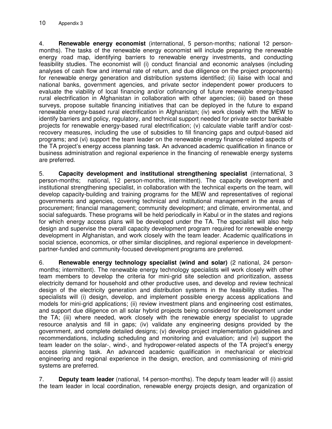4. **Renewable energy economist** (international, 5 person-months; national 12 personmonths). The tasks of the renewable energy economist will include preparing the renewable energy road map, identifying barriers to renewable energy investments, and conducting feasibility studies. The economist will (i) conduct financial and economic analyses (including analyses of cash flow and internal rate of return, and due diligence on the project proponents) for renewable energy generation and distribution systems identified; (ii) liaise with local and national banks, government agencies, and private sector independent power producers to evaluate the viability of local financing and/or cofinancing of future renewable energy-based rural electrification in Afghanistan in collaboration with other agencies; (iii) based on these surveys, propose suitable financing initiatives that can be deployed in the future to expand renewable energy-based rural electrification in Afghanistan; (iv) work closely with the MEW to identify barriers and policy, regulatory, and technical support needed for private sector bankable projects for renewable energy-based rural electrification; (v) calculate viable tariff and/or costrecovery measures, including the use of subsidies to fill financing gaps and output-based aid programs; and (vi) support the team leader on the renewable energy finance-related aspects of the TA project's energy access planning task. An advanced academic qualification in finance or business administration and regional experience in the financing of renewable energy systems are preferred.

5. **Capacity development and institutional strengthening specialist** (international, 3 person-months; national, 12 person-months, intermittent). The capacity development and institutional strengthening specialist, in collaboration with the technical experts on the team, will develop capacity-building and training programs for the MEW and representatives of regional governments and agencies, covering technical and institutional management in the areas of procurement; financial management; community development; and climate, environmental, and social safeguards. These programs will be held periodically in Kabul or in the states and regions for which energy access plans will be developed under the TA. The specialist will also help design and supervise the overall capacity development program required for renewable energy development in Afghanistan, and work closely with the team leader. Academic qualifications in social science, economics, or other similar disciplines, and regional experience in developmentpartner-funded and community-focused development programs are preferred.

6. **Renewable energy technology specialist (wind and solar)** (2 national, 24 personmonths; intermittent). The renewable energy technology specialists will work closely with other team members to develop the criteria for mini-grid site selection and prioritization, assess electricity demand for household and other productive uses, and develop and review technical design of the electricity generation and distribution systems in the feasibility studies. The specialists will (i) design, develop, and implement possible energy access applications and models for mini-grid applications; (ii) review investment plans and engineering cost estimates, and support due diligence on all solar hybrid projects being considered for development under the TA; (iii) where needed, work closely with the renewable energy specialist to upgrade resource analysis and fill in gaps; (iv) validate any engineering designs provided by the government, and complete detailed designs; (v) develop project implementation guidelines and recommendations, including scheduling and monitoring and evaluation; and (vi) support the team leader on the solar-, wind-, and hydropower-related aspects of the TA project's energy access planning task. An advanced academic qualification in mechanical or electrical engineering and regional experience in the design, erection, and commissioning of mini-grid systems are preferred.

7. **Deputy team leader** (national, 14 person-months). The deputy team leader will (i) assist the team leader in local coordination, renewable energy projects design, and organization of